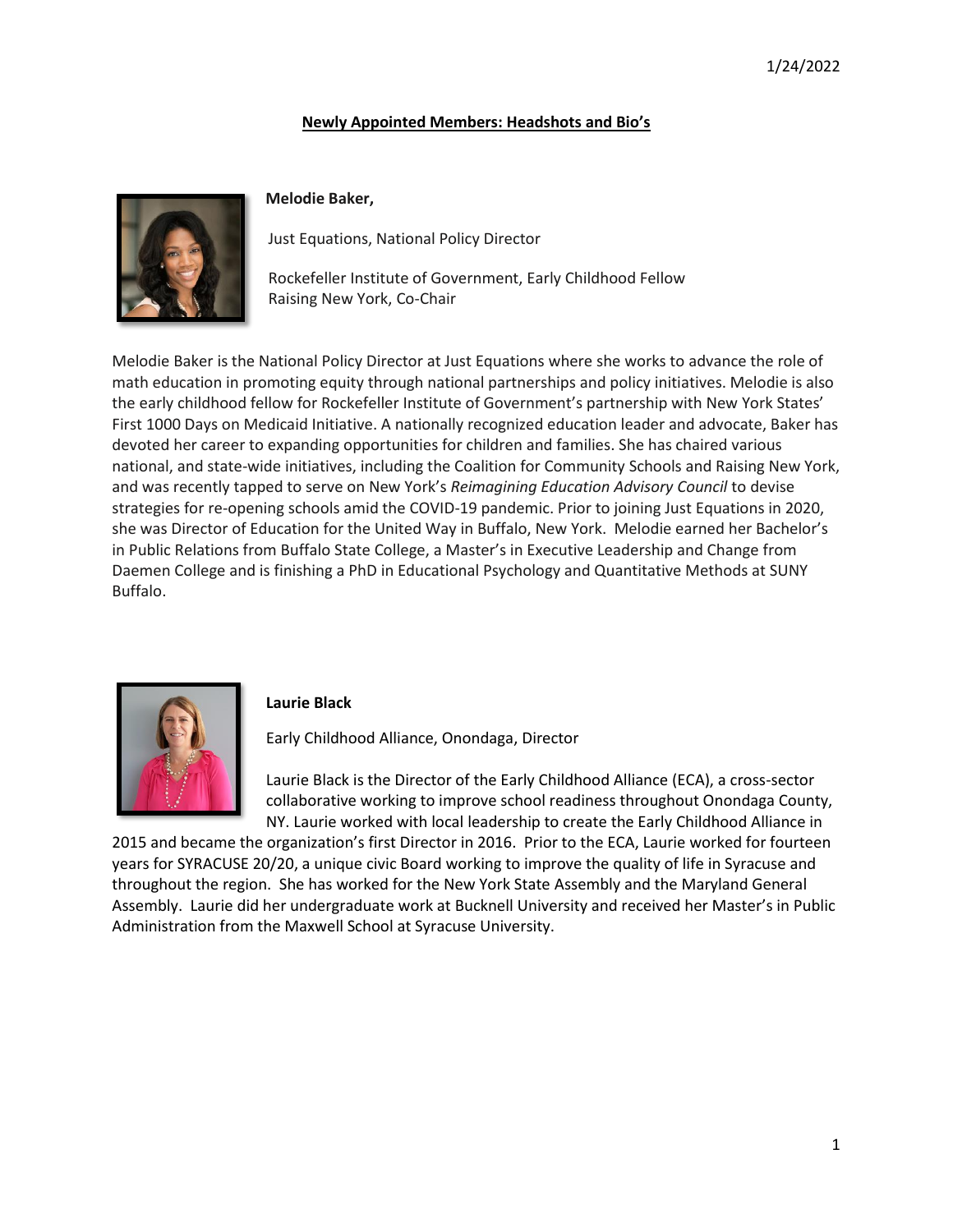## **Newly Appointed Members: Headshots and Bio's**



## **Melodie Baker,**

Just Equations, National Policy Director

Rockefeller Institute of Government, Early Childhood Fellow Raising New York, Co-Chair

Melodie Baker is the National Policy Director at Just Equations where she works to advance the role of math education in promoting equity through national partnerships and policy initiatives. Melodie is also the early childhood fellow for Rockefeller Institute of Government's partnership with New York States' First 1000 Days on Medicaid Initiative. A nationally recognized education leader and advocate, Baker has devoted her career to expanding opportunities for children and families. She has chaired various national, and state-wide initiatives, including the Coalition for Community Schools and Raising New York, and was recently tapped to serve on New York's *Reimagining Education Advisory Council* to devise strategies for re-opening schools amid the COVID-19 pandemic. Prior to joining Just Equations in 2020, she was Director of Education for the United Way in Buffalo, New York. Melodie earned her Bachelor's in Public Relations from Buffalo State College, a Master's in Executive Leadership and Change from Daemen College and is finishing a PhD in Educational Psychology and Quantitative Methods at SUNY Buffalo.



### **Laurie Black**

Early Childhood Alliance, Onondaga, Director

Laurie Black is the Director of the Early Childhood Alliance (ECA), a cross-sector collaborative working to improve school readiness throughout Onondaga County, NY. Laurie worked with local leadership to create the Early Childhood Alliance in

2015 and became the organization's first Director in 2016. Prior to the ECA, Laurie worked for fourteen years for SYRACUSE 20/20, a unique civic Board working to improve the quality of life in Syracuse and throughout the region. She has worked for the New York State Assembly and the Maryland General Assembly. Laurie did her undergraduate work at Bucknell University and received her Master's in Public Administration from the Maxwell School at Syracuse University.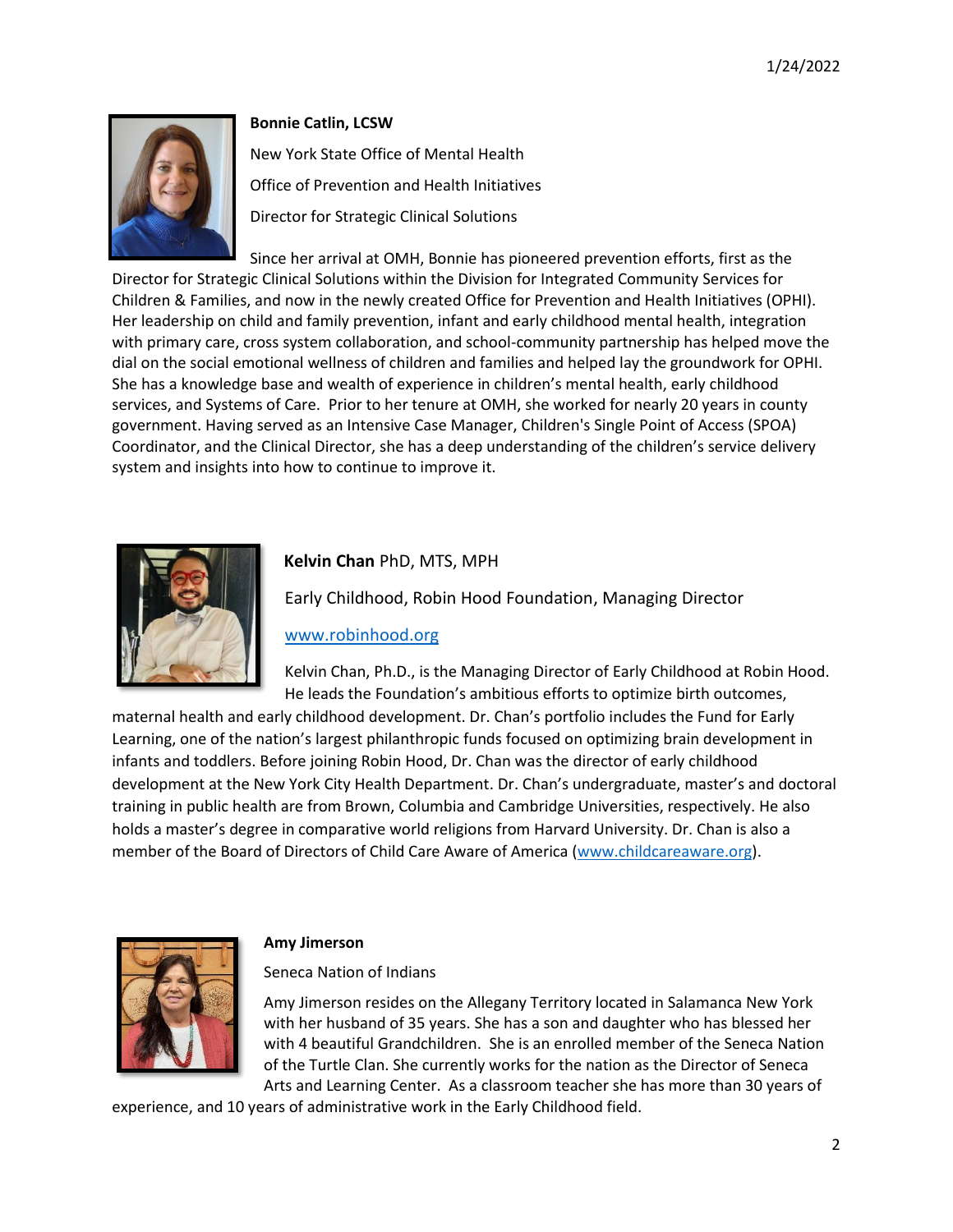

### **Bonnie Catlin, LCSW**

New York State Office of Mental Health Office of Prevention and Health Initiatives Director for Strategic Clinical Solutions

Since her arrival at OMH, Bonnie has pioneered prevention efforts, first as the Director for Strategic Clinical Solutions within the Division for Integrated Community Services for Children & Families, and now in the newly created Office for Prevention and Health Initiatives (OPHI). Her leadership on child and family prevention, infant and early childhood mental health, integration with primary care, cross system collaboration, and school-community partnership has helped move the dial on the social emotional wellness of children and families and helped lay the groundwork for OPHI. She has a knowledge base and wealth of experience in children's mental health, early childhood services, and Systems of Care. Prior to her tenure at OMH, she worked for nearly 20 years in county government. Having served as an Intensive Case Manager, Children's Single Point of Access (SPOA) Coordinator, and the Clinical Director, she has a deep understanding of the children's service delivery system and insights into how to continue to improve it.



# **Kelvin Chan** PhD, MTS, MPH

Early Childhood, Robin Hood Foundation, Managing Director

## [www.robinhood.org](http://www.robinhood.org/)

Kelvin Chan, Ph.D., is the Managing Director of Early Childhood at Robin Hood. He leads the Foundation's ambitious efforts to optimize birth outcomes,

maternal health and early childhood development. Dr. Chan's portfolio includes the Fund for Early Learning, one of the nation's largest philanthropic funds focused on optimizing brain development in infants and toddlers. Before joining Robin Hood, Dr. Chan was the director of early childhood development at the New York City Health Department. Dr. Chan's undergraduate, master's and doctoral training in public health are from Brown, Columbia and Cambridge Universities, respectively. He also holds a master's degree in comparative world religions from Harvard University. Dr. Chan is also a member of the Board of Directors of Child Care Aware of America [\(www.childcareaware.org\)](http://www.childcareaware.org/).



### **Amy Jimerson**

Seneca Nation of Indians

Amy Jimerson resides on the Allegany Territory located in Salamanca New York with her husband of 35 years. She has a son and daughter who has blessed her with 4 beautiful Grandchildren. She is an enrolled member of the Seneca Nation of the Turtle Clan. She currently works for the nation as the Director of Seneca Arts and Learning Center. As a classroom teacher she has more than 30 years of

experience, and 10 years of administrative work in the Early Childhood field.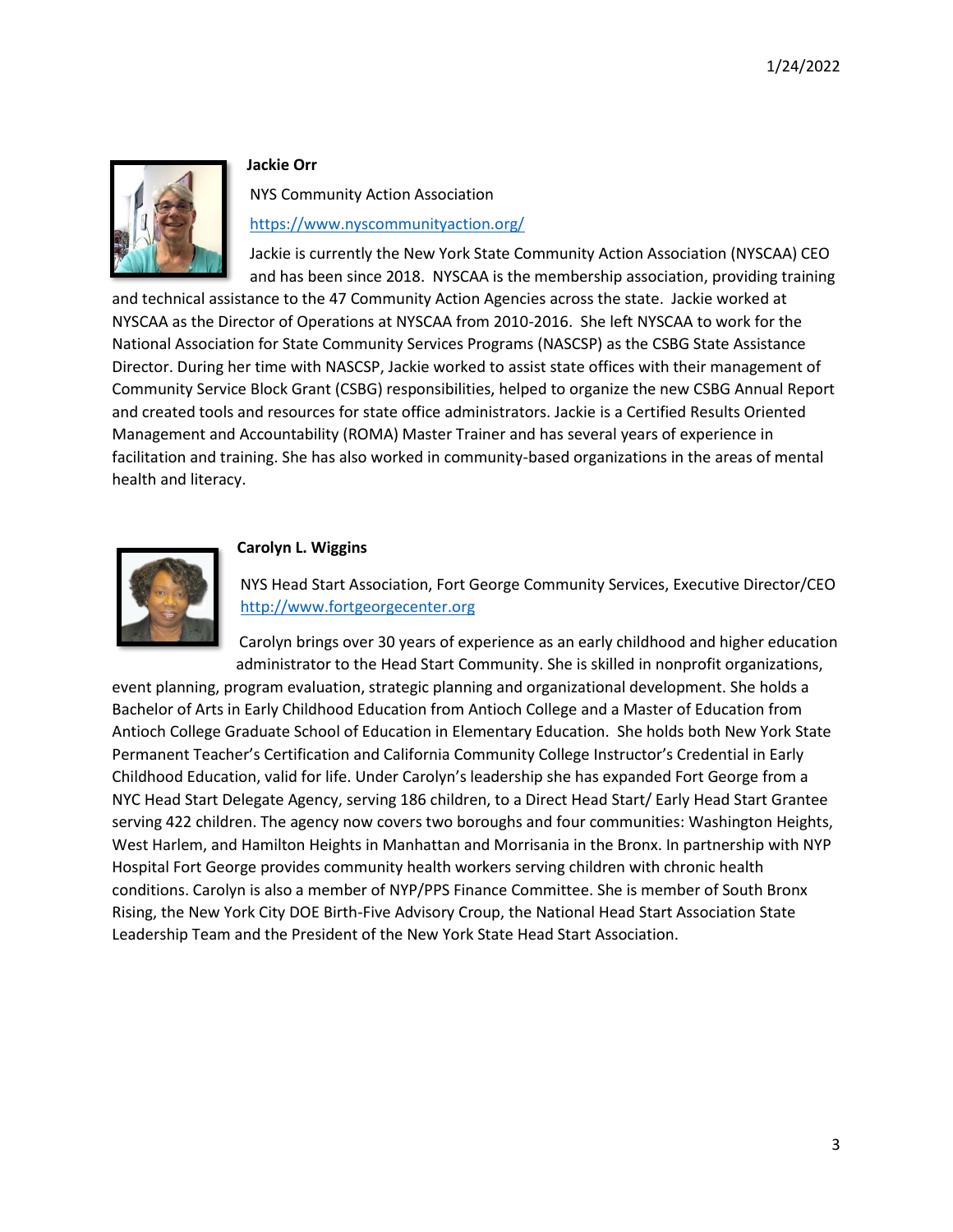

#### **Jackie Orr**

NYS Community Action Association

<https://www.nyscommunityaction.org/>

Jackie is currently the New York State Community Action Association (NYSCAA) CEO and has been since 2018. NYSCAA is the membership association, providing training

and technical assistance to the 47 Community Action Agencies across the state. Jackie worked at NYSCAA as the Director of Operations at NYSCAA from 2010-2016. She left NYSCAA to work for the National Association for State Community Services Programs (NASCSP) as the CSBG State Assistance Director. During her time with NASCSP, Jackie worked to assist state offices with their management of Community Service Block Grant (CSBG) responsibilities, helped to organize the new CSBG Annual Report and created tools and resources for state office administrators. Jackie is a Certified Results Oriented Management and Accountability (ROMA) Master Trainer and has several years of experience in facilitation and training. She has also worked in community-based organizations in the areas of mental health and literacy.



#### **Carolyn L. Wiggins**

NYS Head Start Association, Fort George Community Services, Executive Director/CEO [http://www.fortgeorgecenter.org](http://www.fortgeorgecenter.org/)

Carolyn brings over 30 years of experience as an early childhood and higher education administrator to the Head Start Community. She is skilled in nonprofit organizations,

event planning, program evaluation, strategic planning and organizational development. She holds a Bachelor of Arts in Early Childhood Education from Antioch College and a Master of Education from Antioch College Graduate School of Education in Elementary Education. She holds both New York State Permanent Teacher's Certification and California Community College Instructor's Credential in Early Childhood Education, valid for life. Under Carolyn's leadership she has expanded Fort George from a NYC Head Start Delegate Agency, serving 186 children, to a Direct Head Start/ Early Head Start Grantee serving 422 children. The agency now covers two boroughs and four communities: Washington Heights, West Harlem, and Hamilton Heights in Manhattan and Morrisania in the Bronx. In partnership with NYP Hospital Fort George provides community health workers serving children with chronic health conditions. Carolyn is also a member of NYP/PPS Finance Committee. She is member of South Bronx Rising, the New York City DOE Birth-Five Advisory Croup, the National Head Start Association State Leadership Team and the President of the New York State Head Start Association.